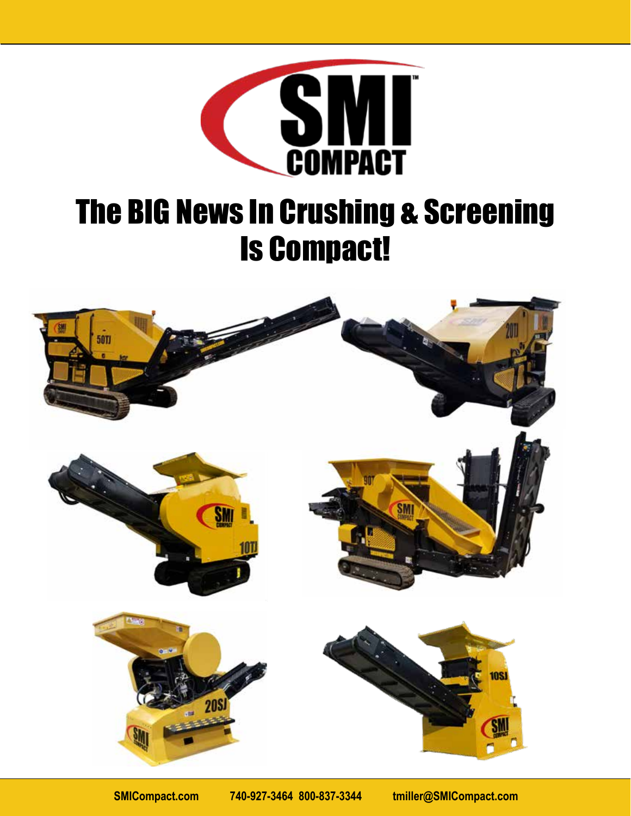

# The BIG News In Crushing & Screening Is Compact!

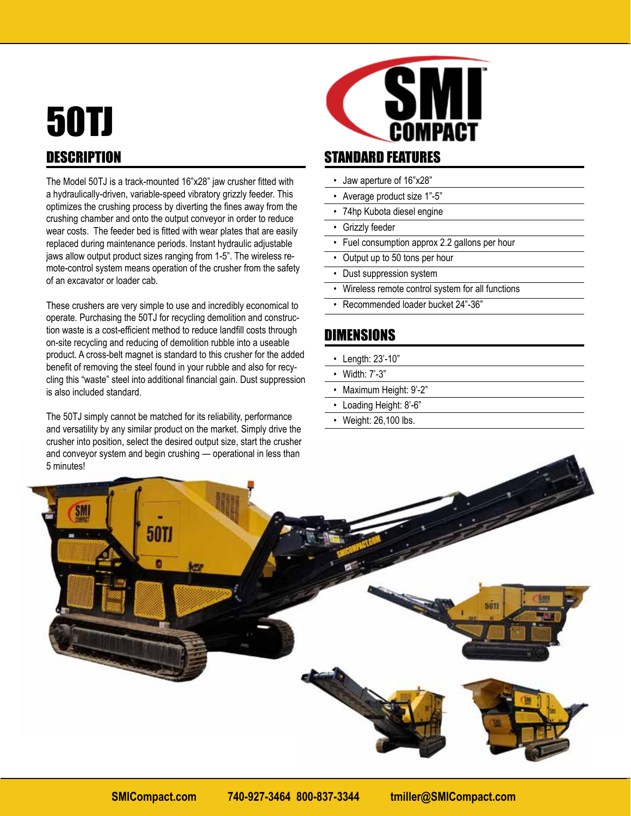## 50TJ **DESCRIPTION**

The Model 50TJ is a track-mounted 16"x28" jaw crusher fitted with a hydraulically-driven, variable-speed vibratory grizzly feeder. This optimizes the crushing process by diverting the fines away from the crushing chamber and onto the output conveyor in order to reduce wear costs. The feeder bed is fitted with wear plates that are easily replaced during maintenance periods. Instant hydraulic adjustable jaws allow output product sizes ranging from 1-5". The wireless remote-control system means operation of the crusher from the safety of an excavator or loader cab.

These crushers are very simple to use and incredibly economical to operate. Purchasing the 50TJ for recycling demolition and construction waste is a cost-efficient method to reduce landfill costs through on-site recycling and reducing of demolition rubble into a useable product. A cross-belt magnet is standard to this crusher for the added benefit of removing the steel found in your rubble and also for recycling this "waste" steel into additional financial gain. Dust suppression is also included standard.

The 50TJ simply cannot be matched for its reliability, performance and versatility by any similar product on the market. Simply drive the crusher into position, select the desired output size, start the crusher and conveyor system and begin crushing — operational in less than 5 minutes!



### STANDARD FEATURES

- Jaw aperture of 16"x28"
- Average product size 1"-5"
- 74hp Kubota diesel engine
- Grizzly feeder
- Fuel consumption approx 2.2 gallons per hour
- Output up to 50 tons per hour
- Dust suppression system
- Wireless remote control system for all functions
- Recommended loader bucket 24"-36"

- Length: 23'-10"
- Width: 7'-3"
- Maximum Height: 9'-2"
- Loading Height: 8'-6"
- Weight: 26,100 lbs.

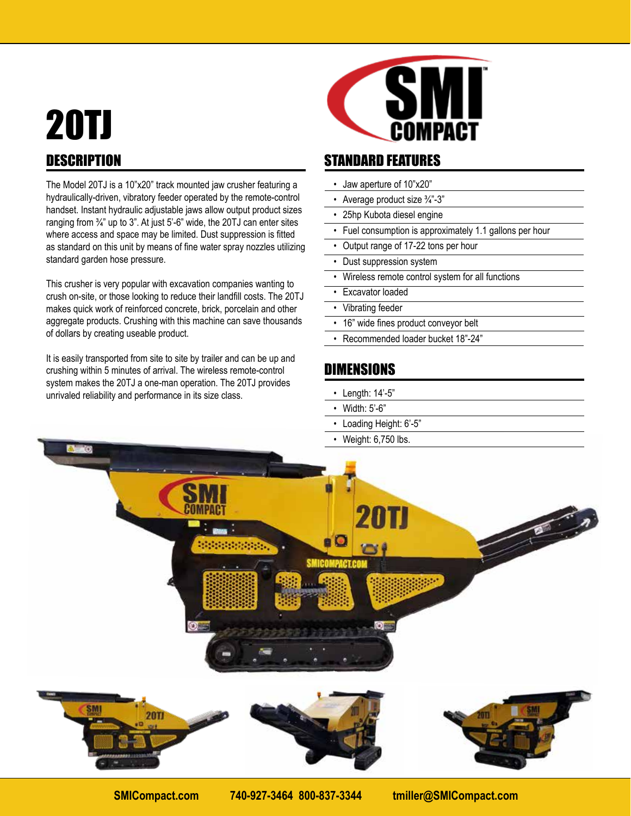# 20TJ **DESCRIPTION**

The Model 20TJ is a 10"x20" track mounted jaw crusher featuring a hydraulically-driven, vibratory feeder operated by the remote-control handset. Instant hydraulic adjustable jaws allow output product sizes ranging from  $\frac{3}{4}$ " up to 3". At just 5'-6" wide, the 20TJ can enter sites where access and space may be limited. Dust suppression is fitted as standard on this unit by means of fine water spray nozzles utilizing standard garden hose pressure.

This crusher is very popular with excavation companies wanting to crush on-site, or those looking to reduce their landfill costs. The 20TJ makes quick work of reinforced concrete, brick, porcelain and other aggregate products. Crushing with this machine can save thousands of dollars by creating useable product.

It is easily transported from site to site by trailer and can be up and crushing within 5 minutes of arrival. The wireless remote-control system makes the 20TJ a one-man operation. The 20TJ provides unrivaled reliability and performance in its size class.



### STANDARD FEATURES

- Jaw aperture of 10"x20"
- Average product size 3/4"-3"
- 25hp Kubota diesel engine
- Fuel consumption is approximately 1.1 gallons per hour
- Output range of 17-22 tons per hour
- Dust suppression system
- Wireless remote control system for all functions
- Excavator loaded
- Vibrating feeder
- 16" wide fines product conveyor belt
- Recommended loader bucket 18"-24"

- Length: 14'-5"
- Width: 5'-6"
- Loading Height: 6'-5"
- Weight: 6,750 lbs.

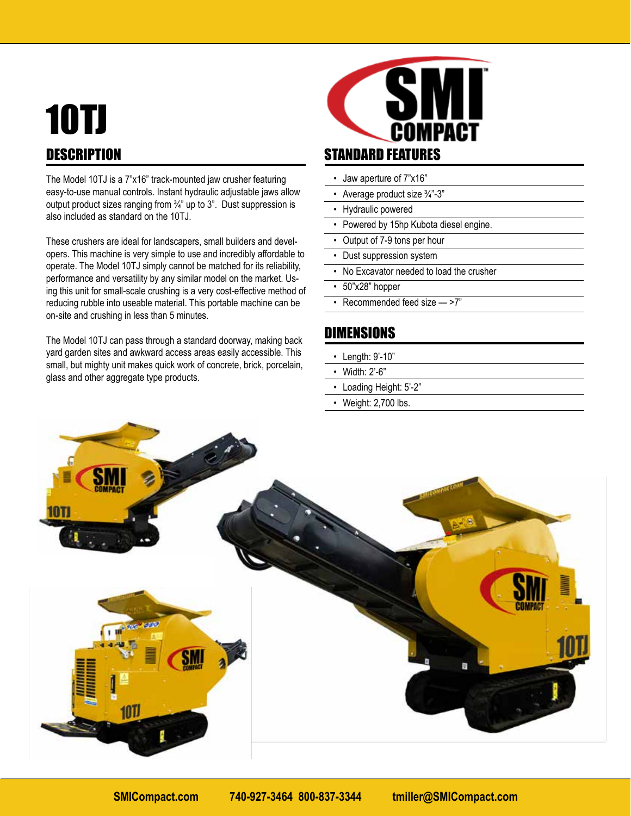### 10TJ **DESCRIPTION**

The Model 10TJ is a 7"x16" track-mounted jaw crusher featuring easy-to-use manual controls. Instant hydraulic adjustable jaws allow output product sizes ranging from ¾" up to 3". Dust suppression is also included as standard on the 10TJ.

These crushers are ideal for landscapers, small builders and developers. This machine is very simple to use and incredibly affordable to operate. The Model 10TJ simply cannot be matched for its reliability, performance and versatility by any similar model on the market. Using this unit for small-scale crushing is a very cost-effective method of reducing rubble into useable material. This portable machine can be on-site and crushing in less than 5 minutes.

The Model 10TJ can pass through a standard doorway, making back yard garden sites and awkward access areas easily accessible. This small, but mighty unit makes quick work of concrete, brick, porcelain, glass and other aggregate type products.



- Jaw aperture of 7"x16"
- Average product size 3/4"-3"
- Hydraulic powered
- Powered by 15hp Kubota diesel engine.
- Output of 7-9 tons per hour
- Dust suppression system
- No Excavator needed to load the crusher
- 50"x28" hopper
- Recommended feed size ->7"

- Length: 9'-10"
- Width: 2'-6"
- Loading Height: 5'-2"
- Weight: 2,700 lbs.

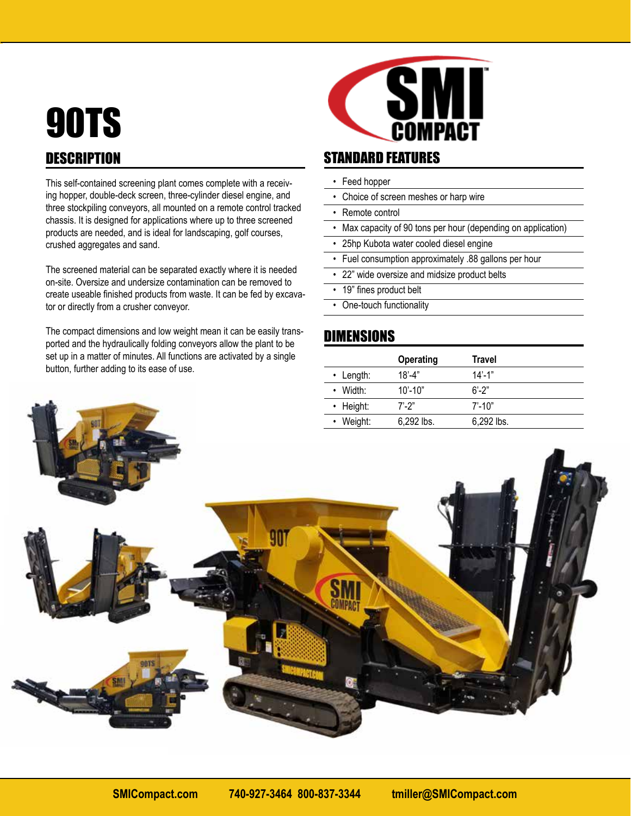## 90TS **DESCRIPTION**

This self-contained screening plant comes complete with a receiving hopper, double-deck screen, three-cylinder diesel engine, and three stockpiling conveyors, all mounted on a remote control tracked chassis. It is designed for applications where up to three screened products are needed, and is ideal for landscaping, golf courses, crushed aggregates and sand.

The screened material can be separated exactly where it is needed on-site. Oversize and undersize contamination can be removed to create useable finished products from waste. It can be fed by excavator or directly from a crusher conveyor.

The compact dimensions and low weight mean it can be easily transported and the hydraulically folding conveyors allow the plant to be set up in a matter of minutes. All functions are activated by a single button, further adding to its ease of use.



#### STANDARD FEATURES

- Feed hopper
- Choice of screen meshes or harp wire
- Remote control
- Max capacity of 90 tons per hour (depending on application)
- 25hp Kubota water cooled diesel engine
- Fuel consumption approximately .88 gallons per hour
- 22" wide oversize and midsize product belts
- 19" fines product belt
- One-touch functionality

|                 | <b>Operating</b>         | Travel       |
|-----------------|--------------------------|--------------|
| $\cdot$ Length: | $18^{\circ} - 4^{\circ}$ | $14' - 1"$   |
| $\cdot$ Width:  | $10' - 10"$              | $6' - 2''$   |
| $\cdot$ Height: | $7'$ -2"                 | $7' - 10"$   |
| • Weight:       | 6,292 lbs.               | $6.292$ lbs. |

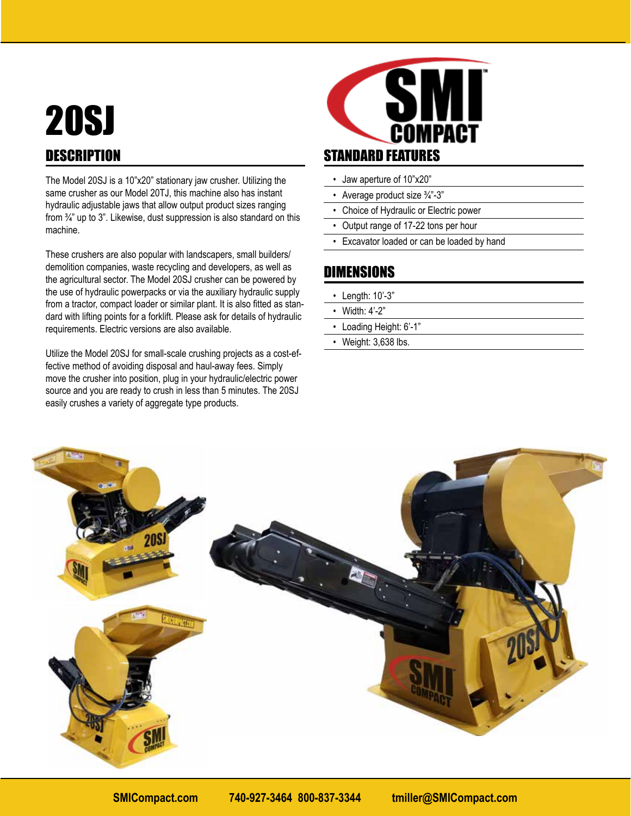### 20SJ **DESCRIPTION**

The Model 20SJ is a 10"x20" stationary jaw crusher. Utilizing the same crusher as our Model 20TJ, this machine also has instant hydraulic adjustable jaws that allow output product sizes ranging from ¾" up to 3". Likewise, dust suppression is also standard on this machine.

These crushers are also popular with landscapers, small builders/ demolition companies, waste recycling and developers, as well as the agricultural sector. The Model 20SJ crusher can be powered by the use of hydraulic powerpacks or via the auxiliary hydraulic supply from a tractor, compact loader or similar plant. It is also fitted as standard with lifting points for a forklift. Please ask for details of hydraulic requirements. Electric versions are also available.

Utilize the Model 20SJ for small-scale crushing projects as a cost-effective method of avoiding disposal and haul-away fees. Simply move the crusher into position, plug in your hydraulic/electric power source and you are ready to crush in less than 5 minutes. The 20SJ easily crushes a variety of aggregate type products.



### STANDARD FEATURES

- Jaw aperture of 10"x20"
- Average product size 3/4"-3"
- Choice of Hydraulic or Electric power
- Output range of 17-22 tons per hour
- Excavator loaded or can be loaded by hand

- Length: 10'-3"
- Width: 4'-2"
- Loading Height: 6'-1"
- Weight: 3,638 lbs.